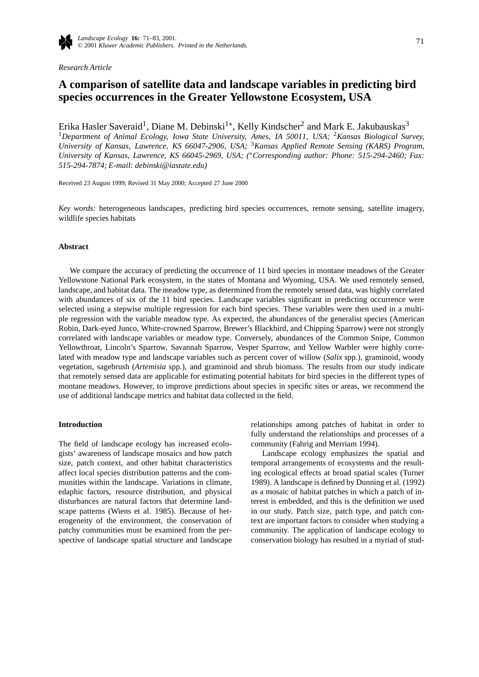

*Research Article*

## **A comparison of satellite data and landscape variables in predicting bird species occurrences in the Greater Yellowstone Ecosystem, USA**

Erika Hasler Saveraid<sup>1</sup>, Diane M. Debinski<sup>1∗</sup>, Kelly Kindscher<sup>2</sup> and Mark E. Jakubauskas<sup>3</sup> <sup>1</sup>*Department of Animal Ecology, Iowa State University, Ames, IA 50011, USA;* <sup>2</sup>*Kansas Biological Survey, University of Kansas, Lawrence, KS 66047-2906, USA;* <sup>3</sup>*Kansas Applied Remote Sensing (KARS) Program, University of Kansas, Lawrence, KS 66045-2969, USA; (*∗*Corresponding author: Phone: 515-294-2460; Fax: 515-294-7874; E-mail: debinski@iastate.edu)*

Received 23 August 1999; Revised 31 May 2000; Accepted 27 June 2000

*Key words:* heterogeneous landscapes, predicting bird species occurrences, remote sensing, satellite imagery, wildlife species habitats

## **Abstract**

We compare the accuracy of predicting the occurrence of 11 bird species in montane meadows of the Greater Yellowstone National Park ecosystem, in the states of Montana and Wyoming, USA. We used remotely sensed, landscape, and habitat data. The meadow type, as determined from the remotely sensed data, was highly correlated with abundances of six of the 11 bird species. Landscape variables significant in predicting occurrence were selected using a stepwise multiple regression for each bird species. These variables were then used in a multiple regression with the variable meadow type. As expected, the abundances of the generalist species (American Robin, Dark-eyed Junco, White-crowned Sparrow, Brewer's Blackbird, and Chipping Sparrow) were not strongly correlated with landscape variables or meadow type. Conversely, abundances of the Common Snipe, Common Yellowthroat, Lincoln's Sparrow, Savannah Sparrow, Vesper Sparrow, and Yellow Warbler were highly correlated with meadow type and landscape variables such as percent cover of willow (*Salix* spp.), graminoid, woody vegetation, sagebrush (*Artemisia* spp.), and graminoid and shrub biomass. The results from our study indicate that remotely sensed data are applicable for estimating potential habitats for bird species in the different types of montane meadows. However, to improve predictions about species in specific sites or areas, we recommend the use of additional landscape metrics and habitat data collected in the field.

## **Introduction**

The field of landscape ecology has increased ecologists' awareness of landscape mosaics and how patch size, patch context, and other habitat characteristics affect local species distribution patterns and the communities within the landscape. Variations in climate, edaphic factors, resource distribution, and physical disturbances are natural factors that determine landscape patterns (Wiens et al. 1985). Because of heterogeneity of the environment, the conservation of patchy communities must be examined from the perspective of landscape spatial structure and landscape relationships among patches of habitat in order to fully understand the relationships and processes of a community (Fahrig and Merriam 1994).

Landscape ecology emphasizes the spatial and temporal arrangements of ecosystems and the resulting ecological effects at broad spatial scales (Turner 1989). A landscape is defined by Dunning et al. (1992) as a mosaic of habitat patches in which a patch of interest is embedded, and this is the definition we used in our study. Patch size, patch type, and patch context are important factors to consider when studying a community. The application of landscape ecology to conservation biology has resulted in a myriad of stud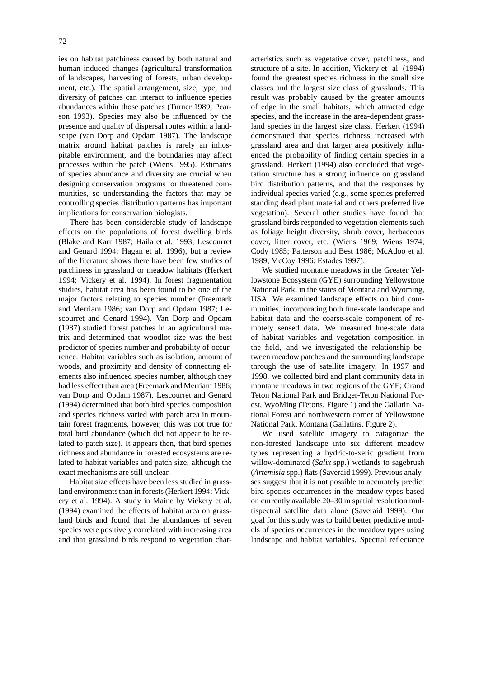ies on habitat patchiness caused by both natural and human induced changes (agricultural transformation of landscapes, harvesting of forests, urban development, etc.). The spatial arrangement, size, type, and diversity of patches can interact to influence species abundances within those patches (Turner 1989; Pearson 1993). Species may also be influenced by the presence and quality of dispersal routes within a landscape (van Dorp and Opdam 1987). The landscape matrix around habitat patches is rarely an inhospitable environment, and the boundaries may affect processes within the patch (Wiens 1995). Estimates of species abundance and diversity are crucial when designing conservation programs for threatened communities, so understanding the factors that may be controlling species distribution patterns has important implications for conservation biologists.

There has been considerable study of landscape effects on the populations of forest dwelling birds (Blake and Karr 1987; Haila et al. 1993; Lescourret and Genard 1994; Hagan et al. 1996), but a review of the literature shows there have been few studies of patchiness in grassland or meadow habitats (Herkert 1994; Vickery et al. 1994). In forest fragmentation studies, habitat area has been found to be one of the major factors relating to species number (Freemark and Merriam 1986; van Dorp and Opdam 1987; Lescourret and Genard 1994). Van Dorp and Opdam (1987) studied forest patches in an agricultural matrix and determined that woodlot size was the best predictor of species number and probability of occurrence. Habitat variables such as isolation, amount of woods, and proximity and density of connecting elements also influenced species number, although they had less effect than area (Freemark and Merriam 1986; van Dorp and Opdam 1987). Lescourret and Genard (1994) determined that both bird species composition and species richness varied with patch area in mountain forest fragments, however, this was not true for total bird abundance (which did not appear to be related to patch size). It appears then, that bird species richness and abundance in forested ecosystems are related to habitat variables and patch size, although the exact mechanisms are still unclear.

Habitat size effects have been less studied in grassland environments than in forests (Herkert 1994; Vickery et al. 1994). A study in Maine by Vickery et al. (1994) examined the effects of habitat area on grassland birds and found that the abundances of seven species were positively correlated with increasing area and that grassland birds respond to vegetation characteristics such as vegetative cover, patchiness, and structure of a site. In addition, Vickery et al. (1994) found the greatest species richness in the small size classes and the largest size class of grasslands. This result was probably caused by the greater amounts of edge in the small habitats, which attracted edge species, and the increase in the area-dependent grassland species in the largest size class. Herkert (1994) demonstrated that species richness increased with grassland area and that larger area positively influenced the probability of finding certain species in a grassland. Herkert (1994) also concluded that vegetation structure has a strong influence on grassland bird distribution patterns, and that the responses by individual species varied (e.g., some species preferred standing dead plant material and others preferred live vegetation). Several other studies have found that grassland birds responded to vegetation elements such as foliage height diversity, shrub cover, herbaceous cover, litter cover, etc. (Wiens 1969; Wiens 1974; Cody 1985; Patterson and Best 1986; McAdoo et al. 1989; McCoy 1996; Estades 1997).

We studied montane meadows in the Greater Yellowstone Ecosystem (GYE) surrounding Yellowstone National Park, in the states of Montana and Wyoming, USA. We examined landscape effects on bird communities, incorporating both fine-scale landscape and habitat data and the coarse-scale component of remotely sensed data. We measured fine-scale data of habitat variables and vegetation composition in the field, and we investigated the relationship between meadow patches and the surrounding landscape through the use of satellite imagery. In 1997 and 1998, we collected bird and plant community data in montane meadows in two regions of the GYE; Grand Teton National Park and Bridger-Teton National Forest, WyoMing (Tetons, Figure 1) and the Gallatin National Forest and northwestern corner of Yellowstone National Park, Montana (Gallatins, Figure 2).

We used satellite imagery to catagorize the non-forested landscape into six different meadow types representing a hydric-to-xeric gradient from willow-dominated (*Salix* spp.) wetlands to sagebrush (*Artemisia* spp.) flats (Saveraid 1999). Previous analyses suggest that it is not possible to accurately predict bird species occurrences in the meadow types based on currently available 20–30 m spatial resolution multispectral satellite data alone (Saveraid 1999). Our goal for this study was to build better predictive models of species occurrences in the meadow types using landscape and habitat variables. Spectral reflectance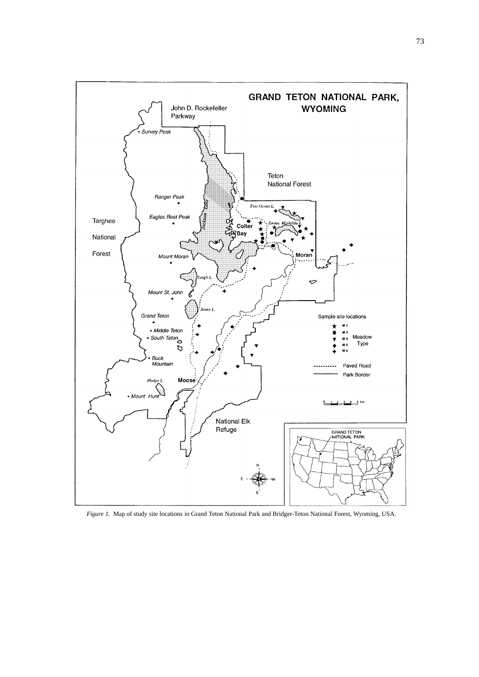

*Figure 1.* Map of study site locations in Grand Teton National Park and Bridger-Teton National Forest, Wyoming, USA.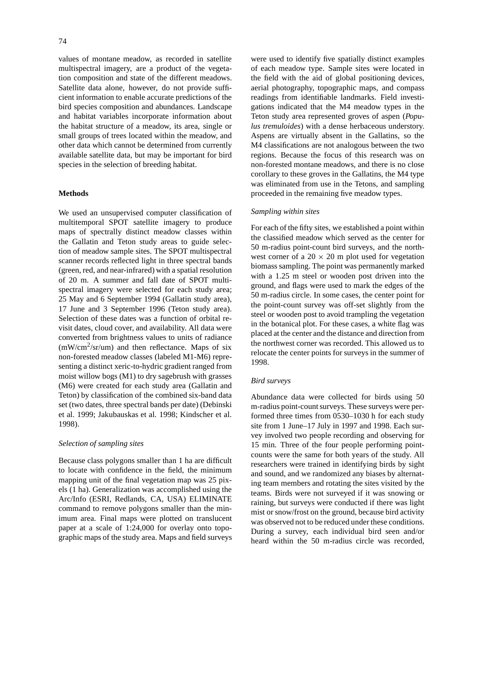values of montane meadow, as recorded in satellite multispectral imagery, are a product of the vegetation composition and state of the different meadows. Satellite data alone, however, do not provide sufficient information to enable accurate predictions of the bird species composition and abundances. Landscape and habitat variables incorporate information about the habitat structure of a meadow, its area, single or small groups of trees located within the meadow, and other data which cannot be determined from currently available satellite data, but may be important for bird species in the selection of breeding habitat.

#### **Methods**

We used an unsupervised computer classification of multitemporal SPOT satellite imagery to produce maps of spectrally distinct meadow classes within the Gallatin and Teton study areas to guide selection of meadow sample sites. The SPOT multispectral scanner records reflected light in three spectral bands (green, red, and near-infrared) with a spatial resolution of 20 m. A summer and fall date of SPOT multispectral imagery were selected for each study area; 25 May and 6 September 1994 (Gallatin study area), 17 June and 3 September 1996 (Teton study area). Selection of these dates was a function of orbital revisit dates, cloud cover, and availability. All data were converted from brightness values to units of radiance  $(mW/cm<sup>2</sup>/sr/um)$  and then reflectance. Maps of six non-forested meadow classes (labeled M1-M6) representing a distinct xeric-to-hydric gradient ranged from moist willow bogs (M1) to dry sagebrush with grasses (M6) were created for each study area (Gallatin and Teton) by classification of the combined six-band data set (two dates, three spectral bands per date) (Debinski et al. 1999; Jakubauskas et al. 1998; Kindscher et al. 1998).

## *Selection of sampling sites*

Because class polygons smaller than 1 ha are difficult to locate with confidence in the field, the minimum mapping unit of the final vegetation map was 25 pixels (1 ha). Generalization was accomplished using the Arc/Info (ESRI, Redlands, CA, USA) ELIMINATE command to remove polygons smaller than the minimum area. Final maps were plotted on translucent paper at a scale of 1:24,000 for overlay onto topographic maps of the study area. Maps and field surveys

were used to identify five spatially distinct examples of each meadow type. Sample sites were located in the field with the aid of global positioning devices, aerial photography, topographic maps, and compass readings from identifiable landmarks. Field investigations indicated that the M4 meadow types in the Teton study area represented groves of aspen (*Populus tremuloides*) with a dense herbaceous understory. Aspens are virtually absent in the Gallatins, so the M4 classifications are not analogous between the two regions. Because the focus of this research was on non-forested montane meadows, and there is no close corollary to these groves in the Gallatins, the M4 type was eliminated from use in the Tetons, and sampling proceeded in the remaining five meadow types.

#### *Sampling within sites*

For each of the fifty sites, we established a point within the classified meadow which served as the center for 50 m-radius point-count bird surveys, and the northwest corner of a  $20 \times 20$  m plot used for vegetation biomass sampling. The point was permanently marked with a 1.25 m steel or wooden post driven into the ground, and flags were used to mark the edges of the 50 m-radius circle. In some cases, the center point for the point-count survey was off-set slightly from the steel or wooden post to avoid trampling the vegetation in the botanical plot. For these cases, a white flag was placed at the center and the distance and direction from the northwest corner was recorded. This allowed us to relocate the center points for surveys in the summer of 1998.

#### *Bird surveys*

Abundance data were collected for birds using 50 m-radius point-count surveys. These surveys were performed three times from 0530–1030 h for each study site from 1 June–17 July in 1997 and 1998. Each survey involved two people recording and observing for 15 min. Three of the four people performing pointcounts were the same for both years of the study. All researchers were trained in identifying birds by sight and sound, and we randomized any biases by alternating team members and rotating the sites visited by the teams. Birds were not surveyed if it was snowing or raining, but surveys were conducted if there was light mist or snow/frost on the ground, because bird activity was observed not to be reduced under these conditions. During a survey, each individual bird seen and/or heard within the 50 m-radius circle was recorded,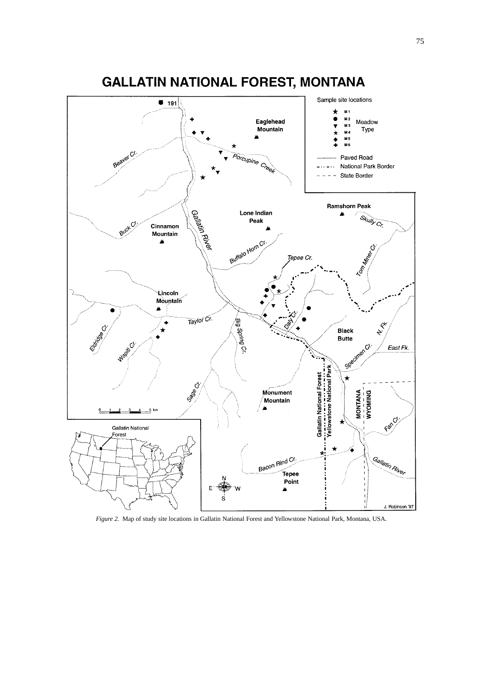

# **GALLATIN NATIONAL FOREST, MONTANA**

*Figure 2.* Map of study site locations in Gallatin National Forest and Yellowstone National Park, Montana, USA.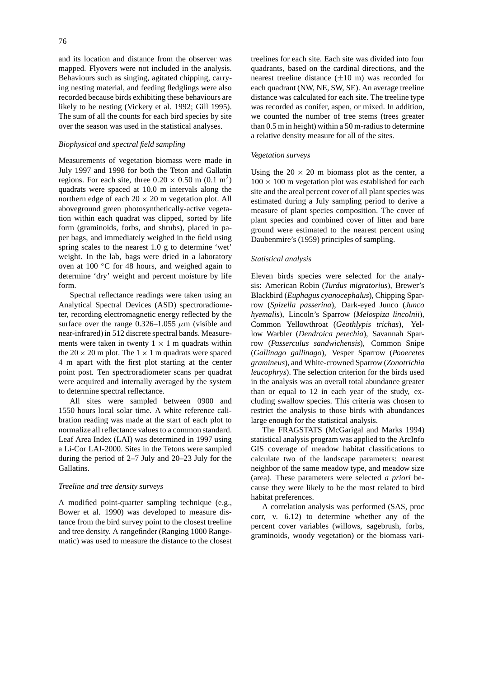and its location and distance from the observer was mapped. Flyovers were not included in the analysis. Behaviours such as singing, agitated chipping, carrying nesting material, and feeding fledglings were also recorded because birds exhibiting these behaviours are likely to be nesting (Vickery et al. 1992; Gill 1995). The sum of all the counts for each bird species by site over the season was used in the statistical analyses.

## *Biophysical and spectral field sampling*

Measurements of vegetation biomass were made in July 1997 and 1998 for both the Teton and Gallatin regions. For each site, three  $0.20 \times 0.50$  m  $(0.1 \text{ m}^2)$ quadrats were spaced at 10.0 m intervals along the northern edge of each  $20 \times 20$  m vegetation plot. All aboveground green photosynthetically-active vegetation within each quadrat was clipped, sorted by life form (graminoids, forbs, and shrubs), placed in paper bags, and immediately weighed in the field using spring scales to the nearest 1.0 g to determine 'wet' weight. In the lab, bags were dried in a laboratory oven at 100 ◦C for 48 hours, and weighed again to determine 'dry' weight and percent moisture by life form.

Spectral reflectance readings were taken using an Analytical Spectral Devices (ASD) spectroradiometer, recording electromagnetic energy reflected by the surface over the range  $0.326-1.055 \mu m$  (visible and near-infrared) in 512 discrete spectral bands. Measurements were taken in twenty  $1 \times 1$  m quadrats within the  $20 \times 20$  m plot. The  $1 \times 1$  m quadrats were spaced 4 m apart with the first plot starting at the center point post. Ten spectroradiometer scans per quadrat were acquired and internally averaged by the system to determine spectral reflectance.

All sites were sampled between 0900 and 1550 hours local solar time. A white reference calibration reading was made at the start of each plot to normalize all reflectance values to a common standard. Leaf Area Index (LAI) was determined in 1997 using a Li-Cor LAI-2000. Sites in the Tetons were sampled during the period of 2–7 July and 20–23 July for the Gallatins.

#### *Treeline and tree density surveys*

A modified point-quarter sampling technique (e.g., Bower et al. 1990) was developed to measure distance from the bird survey point to the closest treeline and tree density. A rangefinder (Ranging 1000 Rangematic) was used to measure the distance to the closest treelines for each site. Each site was divided into four quadrants, based on the cardinal directions, and the nearest treeline distance  $(\pm 10 \text{ m})$  was recorded for each quadrant (NW, NE, SW, SE). An average treeline distance was calculated for each site. The treeline type was recorded as conifer, aspen, or mixed. In addition, we counted the number of tree stems (trees greater than 0.5 m in height) within a 50 m-radius to determine a relative density measure for all of the sites.

### *Vegetation surveys*

Using the  $20 \times 20$  m biomass plot as the center, a  $100 \times 100$  m vegetation plot was established for each site and the areal percent cover of all plant species was estimated during a July sampling period to derive a measure of plant species composition. The cover of plant species and combined cover of litter and bare ground were estimated to the nearest percent using Daubenmire's (1959) principles of sampling.

#### *Statistical analysis*

Eleven birds species were selected for the analysis: American Robin (*Turdus migratorius*), Brewer's Blackbird (*Euphagus cyanocephalus*), Chipping Sparrow (*Spizella passerina*), Dark-eyed Junco (*Junco hyemalis*), Lincoln's Sparrow (*Melospiza lincolnii*), Common Yellowthroat (*Geothlypis trichas*), Yellow Warbler (*Dendroica petechia*), Savannah Sparrow (*Passerculus sandwichensis*), Common Snipe (*Gallinago gallinago*), Vesper Sparrow (*Pooecetes gramineus*), and White-crowned Sparrow (*Zonotrichia leucophrys*). The selection criterion for the birds used in the analysis was an overall total abundance greater than or equal to 12 in each year of the study, excluding swallow species. This criteria was chosen to restrict the analysis to those birds with abundances large enough for the statistical analysis.

The FRAGSTATS (McGarigal and Marks 1994) statistical analysis program was applied to the ArcInfo GIS coverage of meadow habitat classifications to calculate two of the landscape parameters: nearest neighbor of the same meadow type, and meadow size (area). These parameters were selected *a priori* because they were likely to be the most related to bird habitat preferences.

A correlation analysis was performed (SAS, proc corr, v. 6.12) to determine whether any of the percent cover variables (willows, sagebrush, forbs, graminoids, woody vegetation) or the biomass vari-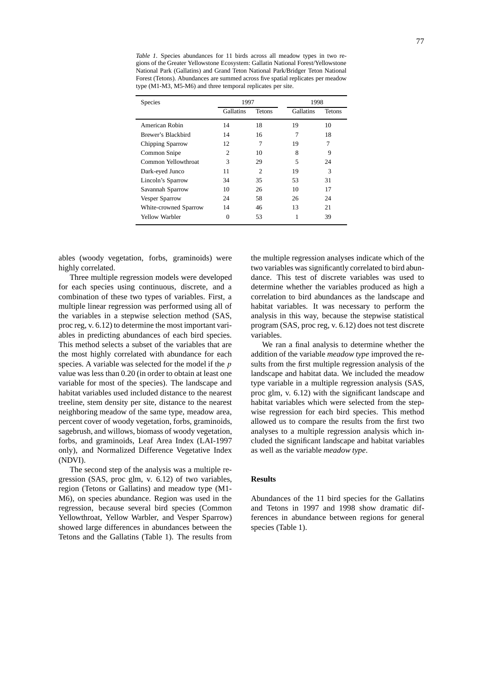*Table 1.* Species abundances for 11 birds across all meadow types in two regions of the Greater Yellowstone Ecosystem: Gallatin National Forest/Yellowstone National Park (Gallatins) and Grand Teton National Park/Bridger Teton National Forest (Tetons). Abundances are summed across five spatial replicates per meadow type (M1-M3, M5-M6) and three temporal replicates per site.

| Species               | 1998<br>1997   |               |           |               |
|-----------------------|----------------|---------------|-----------|---------------|
|                       | Gallatins      | <b>Tetons</b> | Gallatins | <b>Tetons</b> |
| American Robin        | 14             | 18            | 19        | 10            |
| Brewer's Blackbird    | 14             | 16            | 7         | 18            |
| Chipping Sparrow      | 12             | 7             | 19        | 7             |
| Common Snipe          | $\overline{c}$ | 10            | 8         | 9             |
| Common Yellowthroat   | 3              | 29            | 5         | 24            |
| Dark-eyed Junco       | 11             | 2             | 19        | 3             |
| Lincoln's Sparrow     | 34             | 35            | 53        | 31            |
| Savannah Sparrow      | 10             | 26            | 10        | 17            |
| Vesper Sparrow        | 24             | 58            | 26        | 24            |
| White-crowned Sparrow | 14             | 46            | 13        | 21            |
| Yellow Warbler        | 0              | 53            |           | 39            |

ables (woody vegetation, forbs, graminoids) were highly correlated.

Three multiple regression models were developed for each species using continuous, discrete, and a combination of these two types of variables. First, a multiple linear regression was performed using all of the variables in a stepwise selection method (SAS, proc reg, v. 6.12) to determine the most important variables in predicting abundances of each bird species. This method selects a subset of the variables that are the most highly correlated with abundance for each species. A variable was selected for the model if the *p* value was less than 0.20 (in order to obtain at least one variable for most of the species). The landscape and habitat variables used included distance to the nearest treeline, stem density per site, distance to the nearest neighboring meadow of the same type, meadow area, percent cover of woody vegetation, forbs, graminoids, sagebrush, and willows, biomass of woody vegetation, forbs, and graminoids, Leaf Area Index (LAI-1997 only), and Normalized Difference Vegetative Index (NDVI).

The second step of the analysis was a multiple regression (SAS, proc glm, v. 6.12) of two variables, region (Tetons or Gallatins) and meadow type (M1- M6), on species abundance. Region was used in the regression, because several bird species (Common Yellowthroat, Yellow Warbler, and Vesper Sparrow) showed large differences in abundances between the Tetons and the Gallatins (Table 1). The results from

the multiple regression analyses indicate which of the two variables was significantly correlated to bird abundance. This test of discrete variables was used to determine whether the variables produced as high a correlation to bird abundances as the landscape and habitat variables. It was necessary to perform the analysis in this way, because the stepwise statistical program (SAS, proc reg, v. 6.12) does not test discrete variables.

We ran a final analysis to determine whether the addition of the variable *meadow type* improved the results from the first multiple regression analysis of the landscape and habitat data. We included the meadow type variable in a multiple regression analysis (SAS, proc glm, v. 6.12) with the significant landscape and habitat variables which were selected from the stepwise regression for each bird species. This method allowed us to compare the results from the first two analyses to a multiple regression analysis which included the significant landscape and habitat variables as well as the variable *meadow type*.

## **Results**

Abundances of the 11 bird species for the Gallatins and Tetons in 1997 and 1998 show dramatic differences in abundance between regions for general species (Table 1).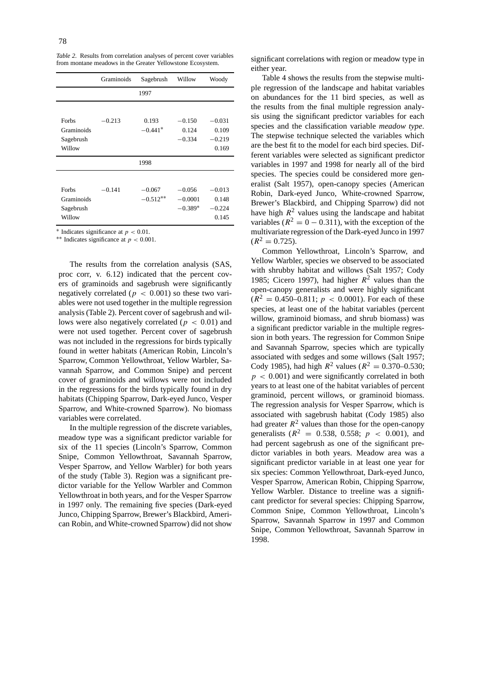*Table 2.* Results from correlation analyses of percent cover variables from montane meadows in the Greater Yellowstone Ecosystem.

|            | Graminoids | Sagebrush  | Willow    | Woody    |
|------------|------------|------------|-----------|----------|
|            |            | 1997       |           |          |
|            |            |            |           |          |
| Forbs      | $-0.213$   | 0.193      | $-0.150$  | $-0.031$ |
| Graminoids |            | $-0.441*$  | 0.124     | 0.109    |
| Sagebrush  |            |            | $-0.334$  | $-0.219$ |
| Willow     |            |            |           | 0.169    |
|            |            | 1998       |           |          |
|            |            |            |           |          |
| Forbs      | $-0.141$   | $-0.067$   | $-0.056$  | $-0.013$ |
| Graminoids |            | $-0.512**$ | $-0.0001$ | 0.148    |
| Sagebrush  |            |            | $-0.389*$ | $-0.224$ |
| Willow     |            |            |           | 0.145    |

∗ Indicates significance at *p <* 0*.*01.

∗∗ Indicates significance at *p <* 0*.*001.

The results from the correlation analysis (SAS, proc corr, v. 6.12) indicated that the percent covers of graminoids and sagebrush were significantly negatively correlated (*p <* 0*.*001) so these two variables were not used together in the multiple regression analysis (Table 2). Percent cover of sagebrush and willows were also negatively correlated (*p <* 0*.*01) and were not used together. Percent cover of sagebrush was not included in the regressions for birds typically found in wetter habitats (American Robin, Lincoln's Sparrow, Common Yellowthroat, Yellow Warbler, Savannah Sparrow, and Common Snipe) and percent cover of graminoids and willows were not included in the regressions for the birds typically found in dry habitats (Chipping Sparrow, Dark-eyed Junco, Vesper Sparrow, and White-crowned Sparrow). No biomass variables were correlated.

In the multiple regression of the discrete variables, meadow type was a significant predictor variable for six of the 11 species (Lincoln's Sparrow, Common Snipe, Common Yellowthroat, Savannah Sparrow, Vesper Sparrow, and Yellow Warbler) for both years of the study (Table 3). Region was a significant predictor variable for the Yellow Warbler and Common Yellowthroat in both years, and for the Vesper Sparrow in 1997 only. The remaining five species (Dark-eyed Junco, Chipping Sparrow, Brewer's Blackbird, American Robin, and White-crowned Sparrow) did not show

significant correlations with region or meadow type in either year.

Table 4 shows the results from the stepwise multiple regression of the landscape and habitat variables on abundances for the 11 bird species, as well as the results from the final multiple regression analysis using the significant predictor variables for each species and the classification variable *meadow type*. The stepwise technique selected the variables which are the best fit to the model for each bird species. Different variables were selected as significant predictor variables in 1997 and 1998 for nearly all of the bird species. The species could be considered more generalist (Salt 1957), open-canopy species (American Robin, Dark-eyed Junco, White-crowned Sparrow, Brewer's Blackbird, and Chipping Sparrow) did not have high  $R^2$  values using the landscape and habitat variables ( $R^2 = 0 - 0.311$ ), with the exception of the multivariate regression of the Dark-eyed Junco in 1997  $(R^2 = 0.725)$ .

Common Yellowthroat, Lincoln's Sparrow, and Yellow Warbler, species we observed to be associated with shrubby habitat and willows (Salt 1957; Cody 1985; Cicero 1997), had higher  $R^2$  values than the open-canopy generalists and were highly significant  $(R^2 = 0.450 - 0.811$ ;  $p < 0.0001$ ). For each of these species, at least one of the habitat variables (percent willow, graminoid biomass, and shrub biomass) was a significant predictor variable in the multiple regression in both years. The regression for Common Snipe and Savannah Sparrow, species which are typically associated with sedges and some willows (Salt 1957; Cody 1985), had high  $R^2$  values ( $R^2 = 0.370{\text -}0.530$ ; *p <* 0*.*001) and were significantly correlated in both years to at least one of the habitat variables of percent graminoid, percent willows, or graminoid biomass. The regression analysis for Vesper Sparrow, which is associated with sagebrush habitat (Cody 1985) also had greater  $R^2$  values than those for the open-canopy generalists ( $R^2 = 0.538, 0.558; p < 0.001$ ), and had percent sagebrush as one of the significant predictor variables in both years. Meadow area was a significant predictor variable in at least one year for six species: Common Yellowthroat, Dark-eyed Junco, Vesper Sparrow, American Robin, Chipping Sparrow, Yellow Warbler. Distance to treeline was a significant predictor for several species: Chipping Sparrow, Common Snipe, Common Yellowthroat, Lincoln's Sparrow, Savannah Sparrow in 1997 and Common Snipe, Common Yellowthroat, Savannah Sparrow in 1998.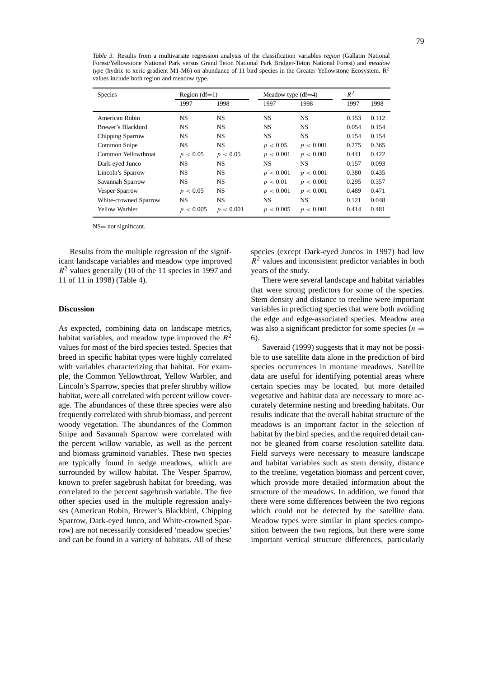*Table 3.* Results from a multivariate regression analysis of the classification variables *region* (Gallatin National Forest/Yellowstone National Park versus Grand Teton National Park Bridger-Teton National Forest) and *meadow type* (hydric to xeric gradient M1-M6) on abundance of 11 bird species in the Greater Yellowstone Ecosystem. R<sup>2</sup> values include both region and meadow type.

| Species               | Region $(df=1)$ |           | Meadow type $(df=4)$ | $R^2$     |       |       |
|-----------------------|-----------------|-----------|----------------------|-----------|-------|-------|
|                       | 1997            | 1998      | 1997                 | 1998      | 1997  | 1998  |
| American Robin        | <b>NS</b>       | <b>NS</b> | NS.                  | <b>NS</b> | 0.153 | 0.112 |
| Brewer's Blackbird    | <b>NS</b>       | <b>NS</b> | NS.                  | NS.       | 0.054 | 0.154 |
| Chipping Sparrow      | <b>NS</b>       | <b>NS</b> | NS.                  | <b>NS</b> | 0.154 | 0.154 |
| Common Snipe          | <b>NS</b>       | <b>NS</b> | p < 0.05             | p < 0.001 | 0.275 | 0.365 |
| Common Yellowthroat   | p < 0.05        | p < 0.05  | p < 0.001            | p < 0.001 | 0.441 | 0.422 |
| Dark-eyed Junco       | <b>NS</b>       | <b>NS</b> | NS.                  | <b>NS</b> | 0.157 | 0.093 |
| Lincoln's Sparrow     | <b>NS</b>       | <b>NS</b> | p < 0.001            | p < 0.001 | 0.380 | 0.435 |
| Savannah Sparrow      | NS.             | <b>NS</b> | p < 0.01             | p < 0.001 | 0.295 | 0.357 |
| Vesper Sparrow        | p < 0.05        | <b>NS</b> | p < 0.001            | p < 0.001 | 0.489 | 0.471 |
| White-crowned Sparrow | <b>NS</b>       | <b>NS</b> | <b>NS</b>            | <b>NS</b> | 0.121 | 0.048 |
| Yellow Warbler        | p < 0.005       | p < 0.001 | p < 0.005            | p < 0.001 | 0.414 | 0.481 |

NS= not significant.

Results from the multiple regression of the significant landscape variables and meadow type improved  $R<sup>2</sup>$  values generally (10 of the 11 species in 1997 and 11 of 11 in 1998) (Table 4).

#### **Discussion**

As expected, combining data on landscape metrics, habitat variables, and meadow type improved the *R*<sup>2</sup> values for most of the bird species tested. Species that breed in specific habitat types were highly correlated with variables characterizing that habitat. For example, the Common Yellowthroat, Yellow Warbler, and Lincoln's Sparrow, species that prefer shrubby willow habitat, were all correlated with percent willow coverage. The abundances of these three species were also frequently correlated with shrub biomass, and percent woody vegetation. The abundances of the Common Snipe and Savannah Sparrow were correlated with the percent willow variable, as well as the percent and biomass graminoid variables. These two species are typically found in sedge meadows, which are surrounded by willow habitat. The Vesper Sparrow, known to prefer sagebrush habitat for breeding, was correlated to the percent sagebrush variable. The five other species used in the multiple regression analyses (American Robin, Brewer's Blackbird, Chipping Sparrow, Dark-eyed Junco, and White-crowned Sparrow) are not necessarily considered 'meadow species' and can be found in a variety of habitats. All of these

species (except Dark-eyed Juncos in 1997) had low  $R<sup>2</sup>$  values and inconsistent predictor variables in both years of the study.

There were several landscape and habitat variables that were strong predictors for some of the species. Stem density and distance to treeline were important variables in predicting species that were both avoiding the edge and edge-associated species. Meadow area was also a significant predictor for some species  $(n =$ 6).

Saveraid (1999) suggests that it may not be possible to use satellite data alone in the prediction of bird species occurrences in montane meadows. Satellite data are useful for identifying potential areas where certain species may be located, but more detailed vegetative and habitat data are necessary to more accurately determine nesting and breeding habitats. Our results indicate that the overall habitat structure of the meadows is an important factor in the selection of habitat by the bird species, and the required detail cannot be gleaned from coarse resolution satellite data. Field surveys were necessary to measure landscape and habitat variables such as stem density, distance to the treeline, vegetation biomass and percent cover, which provide more detailed information about the structure of the meadows. In addition, we found that there were some differences between the two regions which could not be detected by the satellite data. Meadow types were similar in plant species composition between the two regions, but there were some important vertical structure differences, particularly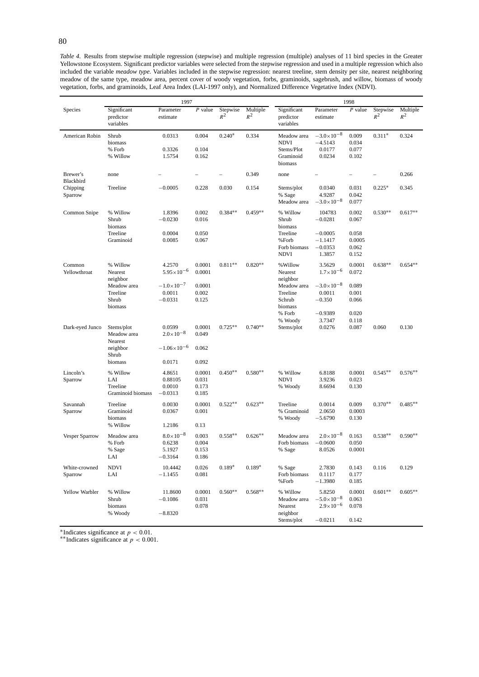*Table 4.* Results from stepwise multiple regression (stepwise) and multiple regression (multiple) analyses of 11 bird species in the Greater Yellowstone Ecosystem. Significant predictor variables were selected from the stepwise regression and used in a multiple regression which also included the variable *meadow type*. Variables included in the stepwise regression: nearest treeline, stem density per site, nearest neighboring meadow of the same type, meadow area, percent cover of woody vegetation, forbs, graminoids, sagebrush, and willow, biomass of woody vegetation, forbs, and graminoids, Leaf Area Index (LAI-1997 only), and Normalized Difference Vegetative Index (NDVI).

| Significant<br>Parameter<br>$P$ value<br>Multiple<br>Significant<br>$P$ value<br>Species<br>Stepwise<br>Parameter<br>Stepwise<br>$R^2$<br>$R^2$<br>$R^2$<br>$R^2$<br>estimate<br>estimate<br>predictor<br>predictor<br>variables<br>variables<br>$-3.0\times10^{-8}$<br>American Robin<br>Shrub<br>0.0313<br>0.004<br>$0.240*$<br>0.334<br>0.009<br>$0.311*$<br>0.324<br>Meadow area<br><b>NDVI</b><br>0.034<br>biomass<br>$-4.5143$<br>% Forb<br>0.104<br>0.0177<br>0.3326<br>Stems/Plot<br>0.077<br>% Willow<br>1.5754<br>0.162<br>0.0234<br>0.102<br>Graminoid<br>biomass<br>0.349<br>0.266<br>Brewer's<br>none<br>none<br>Blackbird<br>$-0.0005$<br>0.228<br>0.030<br>0.154<br>0.0340<br>0.031<br>$0.225*$<br>0.345<br>Chipping<br>Treeline<br>Stems/plot<br>4.9287<br>0.042<br>Sparrow<br>% Sage<br>$-3.0\times10^{-8}$<br>0.077<br>Meadow area<br>% Willow<br>0.002<br>$0.384**$<br>$0.459**$<br>% Willow<br>0.002<br>$0.530**$<br>Common Snipe<br>1.8396<br>104783<br>Shrub<br>$-0.0230$<br>0.016<br>Shrub<br>$-0.0281$<br>0.067<br>biomass<br>biomass<br>Treeline<br>0.050<br>0.058<br>0.0004<br>Treeline<br>$-0.0005$<br>0.067<br>%Forb<br>0.0005<br>Graminoid<br>0.0085<br>$-1.1417$<br>Forb biomass<br>0.062<br>$-0.0353$<br><b>NDVI</b><br>1.3857<br>0.152<br>$0.811**$<br>$0.820**$<br>$0.638**$<br>% Willow<br>4.2570<br>0.0001<br>%Willow<br>0.0001<br>Common<br>3.5629<br>$5.95 \times 10^{-6}$<br>$1.7\times10^{-6}$<br>Yellowthroat<br>0.0001<br>0.072<br>Nearest<br>Nearest<br>neighbor<br>neighbor<br>$-1.0\times10^{-7}$<br>$-3.0\times10^{-8}$<br>Meadow area<br>0.0001<br>Meadow area<br>0.089<br>0.0011<br>Treeline<br>0.002<br>Treeline<br>0.0011<br>0.001<br>Shrub<br>$-0.0331$<br>0.125<br>$-0.350$<br>Schrub<br>0.066<br>biomass<br>biomass<br>$-0.9389$<br>% Forb<br>0.020<br>% Woody<br>3.7347<br>0.118<br>0.0599<br>0.0001<br>$0.725**$<br>$0.740**$<br>0.087<br>0.060<br>0.130<br>Dark-eyed Junco<br>Stems/plot<br>Stems/plot<br>0.0276<br>$2.0\times10^{-8}$<br>Meadow area<br>0.049<br>Nearest<br>$-1.06\times10^{-6}$<br>neighbor<br>0.062<br>Shrub<br>0.0171<br>0.092<br>biomass<br>Lincoln's<br>% Willow<br>0.0001<br>$0.450**$<br>$0.580**$<br>% Willow<br>$0.545**$<br>4.8651<br>6.8188<br>0.0001<br>LAI<br>0.88105<br>0.031<br><b>NDVI</b><br>3.9236<br>0.023<br>Sparrow<br>0.0010<br>0.173<br>Treeline<br>% Woody<br>8.6694<br>0.130<br>Graminoid biomass<br>$-0.0313$<br>0.185<br>Treeline<br>0.0030<br>0.0001<br>$0.522**$<br>$0.623**$<br>Treeline<br>0.0014<br>0.009<br>$0.370**$<br>Savannah<br>Graminoid<br>0.0367<br>0.001<br>% Graminoid<br>0.0003<br>Sparrow<br>2.0650<br>biomass<br>% Woody<br>$-5.6790$<br>0.130<br>% Willow<br>0.13<br>1.2186<br>$8.0\times10^{-8}$<br>$0.558**$<br>$2.0\times10^{-8}$<br>$0.538**$<br>0.003<br>$0.626**$<br>Meadow area<br>0.163<br>Vesper Sparrow<br>Meadow area<br>% Forb<br>0.6238<br>0.004<br>Forb biomass<br>$-0.0600$<br>0.050<br>5.1927<br>0.153<br>0.0001<br>% Sage<br>% Sage<br>8.0526<br>LAI<br>$-0.3164$<br>0.186<br>$0.189*$<br>$0.189*$<br>NDVI<br>10.4442<br>0.026<br>% Sage<br>2.7830<br>0.143<br>0.116<br>0.129<br>White-crowned<br>LAI<br>0.081<br>$-1.1455$<br>Forb biomass<br>0.1117<br>0.177<br>Sparrow<br>%Forb<br>$-1.3980$<br>0.185<br>Yellow Warbler<br>% Willow<br>0.0001<br>$0.560**$<br>$0.568**$<br>% Willow<br>5.8250<br>0.0001<br>$0.601**$<br>11.8600<br>$-5.0\times10^{-8}$<br>Shrub<br>$-0.1086$<br>0.031<br>Meadow area<br>0.063<br>$2.9 \times 10^{-6}$<br>biomass<br>0.078<br>Nearest<br>0.078<br>$-8.8320$<br>neighbor<br>% Woody | 1997 |  |  |  | 1998 |            |           |       |  |            |
|--------------------------------------------------------------------------------------------------------------------------------------------------------------------------------------------------------------------------------------------------------------------------------------------------------------------------------------------------------------------------------------------------------------------------------------------------------------------------------------------------------------------------------------------------------------------------------------------------------------------------------------------------------------------------------------------------------------------------------------------------------------------------------------------------------------------------------------------------------------------------------------------------------------------------------------------------------------------------------------------------------------------------------------------------------------------------------------------------------------------------------------------------------------------------------------------------------------------------------------------------------------------------------------------------------------------------------------------------------------------------------------------------------------------------------------------------------------------------------------------------------------------------------------------------------------------------------------------------------------------------------------------------------------------------------------------------------------------------------------------------------------------------------------------------------------------------------------------------------------------------------------------------------------------------------------------------------------------------------------------------------------------------------------------------------------------------------------------------------------------------------------------------------------------------------------------------------------------------------------------------------------------------------------------------------------------------------------------------------------------------------------------------------------------------------------------------------------------------------------------------------------------------------------------------------------------------------------------------------------------------------------------------------------------------------------------------------------------------------------------------------------------------------------------------------------------------------------------------------------------------------------------------------------------------------------------------------------------------------------------------------------------------------------------------------------------------------------------------------------------------------------------------------------------------------------------------------------------------------------------------------------------------------------------------------------------------------------------------------------------------------------------------------------------------------------------------------------------------------------------------------------------------------------------------------------|------|--|--|--|------|------------|-----------|-------|--|------------|
|                                                                                                                                                                                                                                                                                                                                                                                                                                                                                                                                                                                                                                                                                                                                                                                                                                                                                                                                                                                                                                                                                                                                                                                                                                                                                                                                                                                                                                                                                                                                                                                                                                                                                                                                                                                                                                                                                                                                                                                                                                                                                                                                                                                                                                                                                                                                                                                                                                                                                                                                                                                                                                                                                                                                                                                                                                                                                                                                                                                                                                                                                                                                                                                                                                                                                                                                                                                                                                                                                                                                                              |      |  |  |  |      |            |           |       |  | Multiple   |
|                                                                                                                                                                                                                                                                                                                                                                                                                                                                                                                                                                                                                                                                                                                                                                                                                                                                                                                                                                                                                                                                                                                                                                                                                                                                                                                                                                                                                                                                                                                                                                                                                                                                                                                                                                                                                                                                                                                                                                                                                                                                                                                                                                                                                                                                                                                                                                                                                                                                                                                                                                                                                                                                                                                                                                                                                                                                                                                                                                                                                                                                                                                                                                                                                                                                                                                                                                                                                                                                                                                                                              |      |  |  |  |      |            |           |       |  |            |
|                                                                                                                                                                                                                                                                                                                                                                                                                                                                                                                                                                                                                                                                                                                                                                                                                                                                                                                                                                                                                                                                                                                                                                                                                                                                                                                                                                                                                                                                                                                                                                                                                                                                                                                                                                                                                                                                                                                                                                                                                                                                                                                                                                                                                                                                                                                                                                                                                                                                                                                                                                                                                                                                                                                                                                                                                                                                                                                                                                                                                                                                                                                                                                                                                                                                                                                                                                                                                                                                                                                                                              |      |  |  |  |      |            |           |       |  |            |
|                                                                                                                                                                                                                                                                                                                                                                                                                                                                                                                                                                                                                                                                                                                                                                                                                                                                                                                                                                                                                                                                                                                                                                                                                                                                                                                                                                                                                                                                                                                                                                                                                                                                                                                                                                                                                                                                                                                                                                                                                                                                                                                                                                                                                                                                                                                                                                                                                                                                                                                                                                                                                                                                                                                                                                                                                                                                                                                                                                                                                                                                                                                                                                                                                                                                                                                                                                                                                                                                                                                                                              |      |  |  |  |      |            |           |       |  |            |
|                                                                                                                                                                                                                                                                                                                                                                                                                                                                                                                                                                                                                                                                                                                                                                                                                                                                                                                                                                                                                                                                                                                                                                                                                                                                                                                                                                                                                                                                                                                                                                                                                                                                                                                                                                                                                                                                                                                                                                                                                                                                                                                                                                                                                                                                                                                                                                                                                                                                                                                                                                                                                                                                                                                                                                                                                                                                                                                                                                                                                                                                                                                                                                                                                                                                                                                                                                                                                                                                                                                                                              |      |  |  |  |      |            |           |       |  | $0.617**$  |
|                                                                                                                                                                                                                                                                                                                                                                                                                                                                                                                                                                                                                                                                                                                                                                                                                                                                                                                                                                                                                                                                                                                                                                                                                                                                                                                                                                                                                                                                                                                                                                                                                                                                                                                                                                                                                                                                                                                                                                                                                                                                                                                                                                                                                                                                                                                                                                                                                                                                                                                                                                                                                                                                                                                                                                                                                                                                                                                                                                                                                                                                                                                                                                                                                                                                                                                                                                                                                                                                                                                                                              |      |  |  |  |      |            |           |       |  | $0.654**$  |
|                                                                                                                                                                                                                                                                                                                                                                                                                                                                                                                                                                                                                                                                                                                                                                                                                                                                                                                                                                                                                                                                                                                                                                                                                                                                                                                                                                                                                                                                                                                                                                                                                                                                                                                                                                                                                                                                                                                                                                                                                                                                                                                                                                                                                                                                                                                                                                                                                                                                                                                                                                                                                                                                                                                                                                                                                                                                                                                                                                                                                                                                                                                                                                                                                                                                                                                                                                                                                                                                                                                                                              |      |  |  |  |      |            |           |       |  |            |
|                                                                                                                                                                                                                                                                                                                                                                                                                                                                                                                                                                                                                                                                                                                                                                                                                                                                                                                                                                                                                                                                                                                                                                                                                                                                                                                                                                                                                                                                                                                                                                                                                                                                                                                                                                                                                                                                                                                                                                                                                                                                                                                                                                                                                                                                                                                                                                                                                                                                                                                                                                                                                                                                                                                                                                                                                                                                                                                                                                                                                                                                                                                                                                                                                                                                                                                                                                                                                                                                                                                                                              |      |  |  |  |      |            |           |       |  | $0.576**$  |
|                                                                                                                                                                                                                                                                                                                                                                                                                                                                                                                                                                                                                                                                                                                                                                                                                                                                                                                                                                                                                                                                                                                                                                                                                                                                                                                                                                                                                                                                                                                                                                                                                                                                                                                                                                                                                                                                                                                                                                                                                                                                                                                                                                                                                                                                                                                                                                                                                                                                                                                                                                                                                                                                                                                                                                                                                                                                                                                                                                                                                                                                                                                                                                                                                                                                                                                                                                                                                                                                                                                                                              |      |  |  |  |      |            |           |       |  | $0.485***$ |
|                                                                                                                                                                                                                                                                                                                                                                                                                                                                                                                                                                                                                                                                                                                                                                                                                                                                                                                                                                                                                                                                                                                                                                                                                                                                                                                                                                                                                                                                                                                                                                                                                                                                                                                                                                                                                                                                                                                                                                                                                                                                                                                                                                                                                                                                                                                                                                                                                                                                                                                                                                                                                                                                                                                                                                                                                                                                                                                                                                                                                                                                                                                                                                                                                                                                                                                                                                                                                                                                                                                                                              |      |  |  |  |      |            |           |       |  | $0.590**$  |
|                                                                                                                                                                                                                                                                                                                                                                                                                                                                                                                                                                                                                                                                                                                                                                                                                                                                                                                                                                                                                                                                                                                                                                                                                                                                                                                                                                                                                                                                                                                                                                                                                                                                                                                                                                                                                                                                                                                                                                                                                                                                                                                                                                                                                                                                                                                                                                                                                                                                                                                                                                                                                                                                                                                                                                                                                                                                                                                                                                                                                                                                                                                                                                                                                                                                                                                                                                                                                                                                                                                                                              |      |  |  |  |      |            |           |       |  |            |
|                                                                                                                                                                                                                                                                                                                                                                                                                                                                                                                                                                                                                                                                                                                                                                                                                                                                                                                                                                                                                                                                                                                                                                                                                                                                                                                                                                                                                                                                                                                                                                                                                                                                                                                                                                                                                                                                                                                                                                                                                                                                                                                                                                                                                                                                                                                                                                                                                                                                                                                                                                                                                                                                                                                                                                                                                                                                                                                                                                                                                                                                                                                                                                                                                                                                                                                                                                                                                                                                                                                                                              |      |  |  |  |      | Stems/plot | $-0.0211$ | 0.142 |  | $0.605**$  |

∗Indicates significance at *p <* 0*.*01.

 $**$ Indicates significance at  $p < 0.001$ .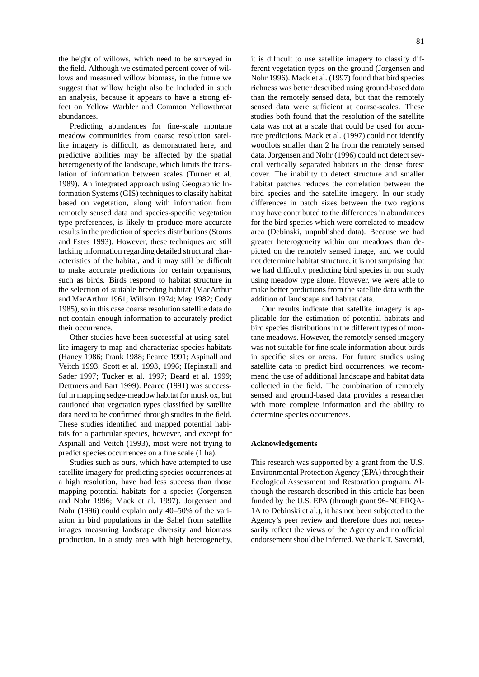the height of willows, which need to be surveyed in the field. Although we estimated percent cover of willows and measured willow biomass, in the future we suggest that willow height also be included in such an analysis, because it appears to have a strong effect on Yellow Warbler and Common Yellowthroat abundances.

Predicting abundances for fine-scale montane meadow communities from coarse resolution satellite imagery is difficult, as demonstrated here, and predictive abilities may be affected by the spatial heterogeneity of the landscape, which limits the translation of information between scales (Turner et al. 1989). An integrated approach using Geographic Information Systems (GIS) techniques to classify habitat based on vegetation, along with information from remotely sensed data and species-specific vegetation type preferences, is likely to produce more accurate results in the prediction of species distributions (Stoms and Estes 1993). However, these techniques are still lacking information regarding detailed structural characteristics of the habitat, and it may still be difficult to make accurate predictions for certain organisms, such as birds. Birds respond to habitat structure in the selection of suitable breeding habitat (MacArthur and MacArthur 1961; Willson 1974; May 1982; Cody 1985), so in this case coarse resolution satellite data do not contain enough information to accurately predict their occurrence.

Other studies have been successful at using satellite imagery to map and characterize species habitats (Haney 1986; Frank 1988; Pearce 1991; Aspinall and Veitch 1993; Scott et al. 1993, 1996; Hepinstall and Sader 1997; Tucker et al. 1997; Beard et al. 1999; Dettmers and Bart 1999). Pearce (1991) was successful in mapping sedge-meadow habitat for musk ox, but cautioned that vegetation types classified by satellite data need to be confirmed through studies in the field. These studies identified and mapped potential habitats for a particular species, however, and except for Aspinall and Veitch (1993), most were not trying to predict species occurrences on a fine scale (1 ha).

Studies such as ours, which have attempted to use satellite imagery for predicting species occurrences at a high resolution, have had less success than those mapping potential habitats for a species (Jorgensen and Nohr 1996; Mack et al. 1997). Jorgensen and Nohr (1996) could explain only 40–50% of the variation in bird populations in the Sahel from satellite images measuring landscape diversity and biomass production. In a study area with high heterogeneity, it is difficult to use satellite imagery to classify different vegetation types on the ground (Jorgensen and Nohr 1996). Mack et al. (1997) found that bird species richness was better described using ground-based data than the remotely sensed data, but that the remotely sensed data were sufficient at coarse-scales. These studies both found that the resolution of the satellite data was not at a scale that could be used for accurate predictions. Mack et al. (1997) could not identify woodlots smaller than 2 ha from the remotely sensed data. Jorgensen and Nohr (1996) could not detect several vertically separated habitats in the dense forest cover. The inability to detect structure and smaller habitat patches reduces the correlation between the bird species and the satellite imagery. In our study differences in patch sizes between the two regions may have contributed to the differences in abundances for the bird species which were correlated to meadow area (Debinski, unpublished data). Because we had greater heterogeneity within our meadows than depicted on the remotely sensed image, and we could not determine habitat structure, it is not surprising that we had difficulty predicting bird species in our study using meadow type alone. However, we were able to make better predictions from the satellite data with the addition of landscape and habitat data.

Our results indicate that satellite imagery is applicable for the estimation of potential habitats and bird species distributions in the different types of montane meadows. However, the remotely sensed imagery was not suitable for fine scale information about birds in specific sites or areas. For future studies using satellite data to predict bird occurrences, we recommend the use of additional landscape and habitat data collected in the field. The combination of remotely sensed and ground-based data provides a researcher with more complete information and the ability to determine species occurrences.

### **Acknowledgements**

This research was supported by a grant from the U.S. Environmental Protection Agency (EPA) through their Ecological Assessment and Restoration program. Although the research described in this article has been funded by the U.S. EPA (through grant 96-NCERQA-1A to Debinski et al.), it has not been subjected to the Agency's peer review and therefore does not necessarily reflect the views of the Agency and no official endorsement should be inferred. We thank T. Saveraid,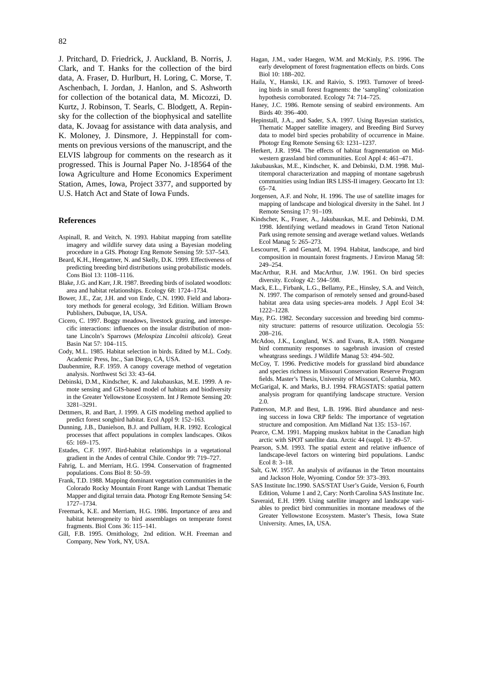J. Pritchard, D. Friedrick, J. Auckland, B. Norris, J. Clark, and T. Hanks for the collection of the bird data, A. Fraser, D. Hurlburt, H. Loring, C. Morse, T. Aschenbach, I. Jordan, J. Hanlon, and S. Ashworth for collection of the botanical data, M. Micozzi, D. Kurtz, J. Robinson, T. Searls, C. Blodgett, A. Repinsky for the collection of the biophysical and satellite data, K. Jovaag for assistance with data analysis, and K. Moloney, J. Dinsmore, J. Heppinstall for comments on previous versions of the manuscript, and the ELVIS labgroup for comments on the research as it progressed. This is Journal Paper No. J-18564 of the Iowa Agriculture and Home Economics Experiment Station, Ames, Iowa, Project 3377, and supported by U.S. Hatch Act and State of Iowa Funds.

#### **References**

- Aspinall, R. and Veitch, N. 1993. Habitat mapping from satellite imagery and wildlife survey data using a Bayesian modeling procedure in a GIS. Photogr Eng Remote Sensing 59: 537–543.
- Beard, K.H., Hengartner, N. and Skelly, D.K. 1999. Effectiveness of predicting breeding bird distributions using probabilistic models. Cons Biol 13: 1108–1116.
- Blake, J.G. and Karr, J.R. 1987. Breeding birds of isolated woodlots: area and habitat relationships. Ecology 68: 1724–1734.
- Bower, J.E., Zar, J.H. and von Ende, C.N. 1990. Field and laboratory methods for general ecology, 3rd Edition. William Brown Publishers, Dubuque, IA, USA.
- Cicero, C. 1997. Boggy meadows, livestock grazing, and interspecific interactions: influences on the insular distribution of montane Lincoln's Sparrows (*Melospiza Lincolnii alticola*). Great Basin Nat 57: 104–115.
- Cody, M.L. 1985. Habitat selection in birds. Edited by M.L. Cody. Academic Press, Inc., San Diego, CA, USA.
- Daubenmire, R.F. 1959. A canopy coverage method of vegetation analysis. Northwest Sci 33: 43–64.
- Debinski, D.M., Kindscher, K. and Jakubauskas, M.E. 1999. A remote sensing and GIS-based model of habitats and biodiversity in the Greater Yellowstone Ecosystem. Int J Remote Sensing 20: 3281–3291.
- Dettmers, R. and Bart, J. 1999. A GIS modeling method applied to predict forest songbird habitat. Ecol Appl 9: 152–163.
- Dunning, J.B., Danielson, B.J. and Pulliam, H.R. 1992. Ecological processes that affect populations in complex landscapes. Oikos 65: 169–175.
- Estades, C.F. 1997. Bird-habitat relationships in a vegetational gradient in the Andes of central Chile. Condor 99: 719–727.
- Fahrig, L. and Merriam, H.G. 1994. Conservation of fragmented populations. Cons Biol 8: 50–59.
- Frank, T.D. 1988. Mapping dominant vegetation communities in the Colorado Rocky Mountain Front Range with Landsat Thematic Mapper and digital terrain data. Photogr Eng Remote Sensing 54: 1727–1734.
- Freemark, K.E. and Merriam, H.G. 1986. Importance of area and habitat heterogeneity to bird assemblages on temperate forest fragments. Biol Cons 36: 115–141.
- Gill, F.B. 1995. Ornithology, 2nd edition. W.H. Freeman and Company, New York, NY, USA.
- Hagan, J.M., vader Haegen, W.M. and McKinly, P.S. 1996. The early development of forest fragmentation effects on birds. Cons Biol 10: 188–202.
- Haila, Y., Hanski, I.K. and Raivio, S. 1993. Turnover of breeding birds in small forest fragments: the 'sampling' colonization hypothesis corroborated. Ecology 74: 714–725.
- Haney, J.C. 1986. Remote sensing of seabird environments. Am Birds 40: 396–400.
- Hepinstall, J.A., and Sader, S.A. 1997. Using Bayesian statistics, Thematic Mapper satellite imagery, and Breeding Bird Survey data to model bird species probability of occurrence in Maine. Photogr Eng Remote Sensing 63: 1231–1237.
- Herkert, J.R. 1994. The effects of habitat fragmentation on Midwestern grassland bird communities. Ecol Appl 4: 461–471.
- Jakubauskas, M.E., Kindscher, K. and Debinski, D.M. 1998. Multitemporal characterization and mapping of montane sagebrush communities using Indian IRS LISS-II imagery. Geocarto Int 13: 65–74.
- Jorgensen, A.F. and Nohr, H. 1996. The use of satellite images for mapping of landscape and biological diversity in the Sahel. Int J Remote Sensing 17: 91–109.
- Kindscher, K., Fraser, A., Jakubauskas, M.E. and Debinski, D.M. 1998. Identifying wetland meadows in Grand Teton National Park using remote sensing and average wetland values. Wetlands Ecol Manag 5: 265–273.
- Lescourret, F. and Genard, M. 1994. Habitat, landscape, and bird composition in mountain forest fragments. J Environ Manag 58: 249–254.
- MacArthur, R.H. and MacArthur, J.W. 1961. On bird species diversity. Ecology 42: 594–598.
- Mack, E.L., Firbank, L.G., Bellamy, P.E., Hinsley, S.A. and Veitch, N. 1997. The comparison of remotely sensed and ground-based habitat area data using species-area models. J Appl Ecol 34: 1222–1228.
- May, P.G. 1982. Secondary succession and breeding bird community structure: patterns of resource utilization. Oecologia 55: 208–216.
- McAdoo, J.K., Longland, W.S. and Evans, R.A. 1989. Nongame bird community responses to sagebrush invasion of crested wheatgrass seedings. J Wildlife Manag 53: 494–502.
- McCoy, T. 1996. Predictive models for grassland bird abundance and species richness in Missouri Conservation Reserve Program fields. Master's Thesis, University of Missouri, Columbia, MO.
- McGarigal, K. and Marks, B.J. 1994. FRAGSTATS: spatial pattern analysis program for quantifying landscape structure. Version 2.0.
- Patterson, M.P. and Best, L.B. 1996. Bird abundance and nesting success in Iowa CRP fields: The importance of vegetation structure and composition. Am Midland Nat 135: 153–167.
- Pearce, C.M. 1991. Mapping muskox habitat in the Canadian high arctic with SPOT satellite data. Arctic 44 (suppl. 1): 49–57.
- Pearson, S.M. 1993. The spatial extent and relative influence of landscape-level factors on wintering bird populations. Landsc Ecol 8: 3–18.
- Salt, G.W. 1957. An analysis of avifaunas in the Teton mountains and Jackson Hole, Wyoming. Condor 59: 373–393.
- SAS Institute Inc.1990. SAS/STAT User's Guide, Version 6, Fourth Edition, Volume 1 and 2, Cary: North Carolina SAS Institute Inc.
- Saveraid, E.H. 1999. Using satellite imagery and landscape variables to predict bird communities in montane meadows of the Greater Yellowstone Ecosystem. Master's Thesis, Iowa State University. Ames, IA, USA.